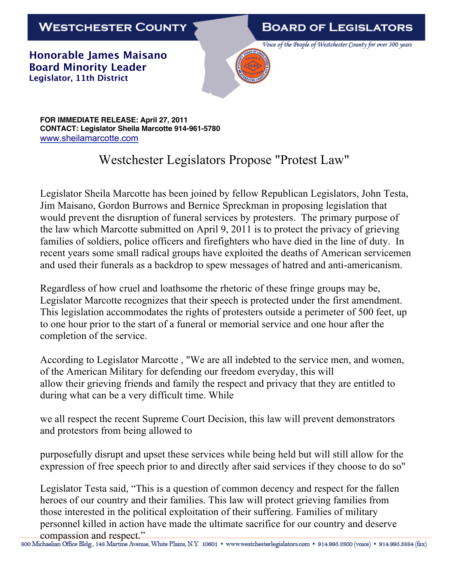**WESTCHESTER COUNTY** 

**BOARD OF LEGISLATORS** 

**Honorable James Maisano Board Minority Leader Legislator, 11th District**



**FOR IMMEDIATE RELEASE: April 27, 2011 CONTACT: Legislator Sheila Marcotte 914-961-5780** www.sheilamarcotte.com

## Westchester Legislators Propose "Protest Law"

Legislator Sheila Marcotte has been joined by fellow Republican Legislators, John Testa, Jim Maisano, Gordon Burrows and Bernice Spreckman in proposing legislation that would prevent the disruption of funeral services by protesters. The primary purpose of the law which Marcotte submitted on April 9, 2011 is to protect the privacy of grieving families of soldiers, police officers and firefighters who have died in the line of duty. In recent years some small radical groups have exploited the deaths of American servicemen and used their funerals as a backdrop to spew messages of hatred and anti-americanism.

Regardless of how cruel and loathsome the rhetoric of these fringe groups may be, Legislator Marcotte recognizes that their speech is protected under the first amendment. This legislation accommodates the rights of protesters outside a perimeter of 500 feet, up to one hour prior to the start of a funeral or memorial service and one hour after the completion of the service.

According to Legislator Marcotte , "We are all indebted to the service men, and women, of the American Military for defending our freedom everyday, this will allow their grieving friends and family the respect and privacy that they are entitled to during what can be a very difficult time. While

we all respect the recent Supreme Court Decision, this law will prevent demonstrators and protestors from being allowed to

purposefully disrupt and upset these services while being held but will still allow for the expression of free speech prior to and directly after said services if they choose to do so"

Legislator Testa said, "This is a question of common decency and respect for the fallen heroes of our country and their families. This law will protect grieving families from those interested in the political exploitation of their suffering. Families of military personnel killed in action have made the ultimate sacrifice for our country and deserve